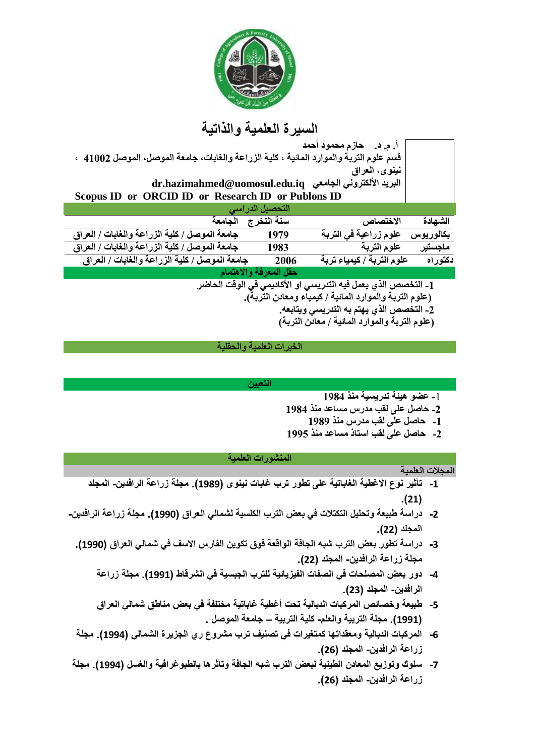

# **السيرة العلمية والذاتية**

| Scopus ID or ORCID ID or Research ID or Publons ID                                                                           |  |  |  |  |
|------------------------------------------------------------------------------------------------------------------------------|--|--|--|--|
| التحصيل الدراس <i>ي</i>                                                                                                      |  |  |  |  |
| الشهادة                                                                                                                      |  |  |  |  |
| بكالوريوس                                                                                                                    |  |  |  |  |
| ماجستير                                                                                                                      |  |  |  |  |
| علوم التربة / كيمياء تربة<br>دكتوراه                                                                                         |  |  |  |  |
| حقل المعرفة والاهتمام                                                                                                        |  |  |  |  |
| 1- التخصص الذي يعمل فيه التدريسى او الأكاديمى فى الوقت الحاضر<br>المالقا المقدر الأكاريقا المقاطر الأكار من المالية المقدرات |  |  |  |  |
|                                                                                                                              |  |  |  |  |

**)علوم التربة والموارد المائية / كيمياء ومعادن التربة(.**

**-2 التخصص الذي يهتم به التدريسي ويتابعه.**

**)علوم التربة والموارد المائية / معادن التربة(**

## **الخبرات العلمية والحقلية**

### **التعيين**

- **-**1 **عضو هيئة تدريسية منذ 1984**
- **-2 حاصل على لقب مدرس مساعد منذ 1984**
	- **-1 حاصل على لقب مدرس منذ 1989**
- **-2 حاصل على لقب استاذ مساعد منذ 1995**

# **المنشورات العلمية**

# **المجالت العلمية -1 تأثير نوع االغطية الغاباتية على تطور ترب غابات نينوى )1989(. مجلة زراعة الرافدين- المجلد .)21(**

- **-2 دراسة طبيعة وتحليل التكتالت في بعض الترب الكلسية لشمالي العراق )1990(. مجلة زراعة الرافدين- المجلد )22(.**
	- **-3 دراسة تطور بعض الترب شبه الجافة الواقعة فوق تكوين الفارس االسف في شمالي العراق )1990(. مجلة زراعة الرافدين- المجلد )22(.**
		- **-4 دور بعض المصلحات في الصفات الفيزيائية للترب الجبسية في الشرقاط )1991(. مجلة زراعة الرافدين- المجلد )23(.**
		- **-5 طبيعة وخصائص المركبات الدبالية تحت أغطية غاباتية مختلفة في بعض مناطق شمالي العراق )1991(. مجلة التربية والعلم- كلية التربية – جامعة الموصل .**
	- **-6 المركبات الدبالية ومعقداتها كمتغيرات في تصنيف ترب مشروع ري الجزيرة الشمالي )1994(. مجلة زراعة الرافدين- المجلد )26(.**
- **-7 سلوك وتوزيع المعادن الطينية لبعض الترب شبه الجافة وتأثرها بالطبوغرافية والغسل )1994(. مجلة زراعة الرافدين- المجلد )26(.**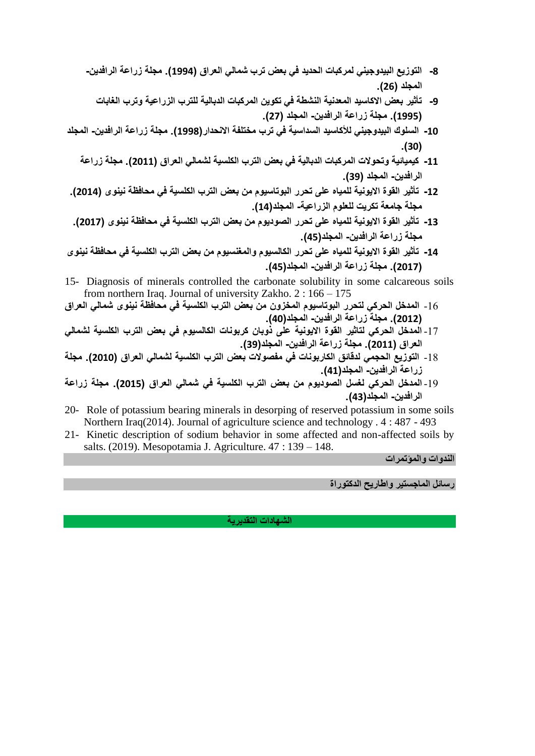- **-8 التوزيع البيدوجيني لمركبات الحديد في بعض ترب شمالي العراق )1994(. مجلة زراعة الرافدين- المجلد )26(.**
	- **-9 تأثير بعض االكاسيد المعدنية النشطة في تكوين المركبات الدبالية للترب الزراعية وترب الغابات )1995(. مجلة زراعة الرافدين- المجلد )27(.**
- **-10 السلوك البيدوجيني لألكاسيد السداسية في ترب مختلفة االنحدار)1998(. مجلة زراعة الرافدين- المجلد .)30(**
	- **-11 كيميائية وتحوالت المركبات الدبالية في بعض الترب الكلسية لشمالي العراق )2011(. مجلة زراعة الرافدين- المجلد )39(.**
- **-12 تأثير القوة االيونية للمياه على تحرر البوتاسيوم من بعض الترب الكلسية في محافظة نينوى )2014(. مجلة جامعة تكريت للعلوم الزراعية- المجلد)14(.**
- **-13 تأثير القوة االيونية للمياه على تحرر الصوديوم من بعض الترب الكلسية في محافظة نينوى )2017(. مجلة زراعة الرافدين- المجلد)45(.**
- **-14 تأثير القوة االيونية للمياه على تحرر الكالسيوم والمغنسيوم من بعض الترب الكلسية في محافظة نينوى )2017(. مجلة زراعة الرافدين- المجلد)45(.**
- 15- Diagnosis of minerals controlled the carbonate solubility in some calcareous soils from northern Iraq. Journal of university Zakho. 2 : 166 – 175
- -16 **المدخل الحركي لتحرر البوتاسيوم المخزون من بعض الترب الكلسية في محافظة نينوى شمالي العراق )2012(. مجلة زراعة الرافدين- المجلد)40(.**
- -17 **المدخل الحركي لتاثير القوة االيونية على ذوبان كربونات الكالسيوم في بعض الترب الكلسية لشمالي العراق )2011(. مجلة زراعة الرافدين- المجلد)39(.**
- -18 **التوزيع الحجمي لدقائق الكاربونات في مفصوالت بعض الترب الكلسية لشمالي العراق )2010(. مجلة زراعة الرافدين- المجلد)41(.**
- -19 **المدخل الحركي لغسل الصوديوم من بعض الترب الكلسية في شمالي العراق )2015(. مجلة زراعة الرافدين- المجلد)43(.**
- 20- Role of potassium bearing minerals in desorping of reserved potassium in some soils Northern Iraq(2014). Journal of agriculture science and technology . 4 : 487 - 493
- 21- Kinetic description of sodium behavior in some affected and non-affected soils by salts. (2019). Mesopotamia J. Agriculture. 47 : 139 – 148.

**الندوات والمؤتمرات**

**رسائل الماجستير واطاريح الدكتوراة**

**الشهادات التقديرية**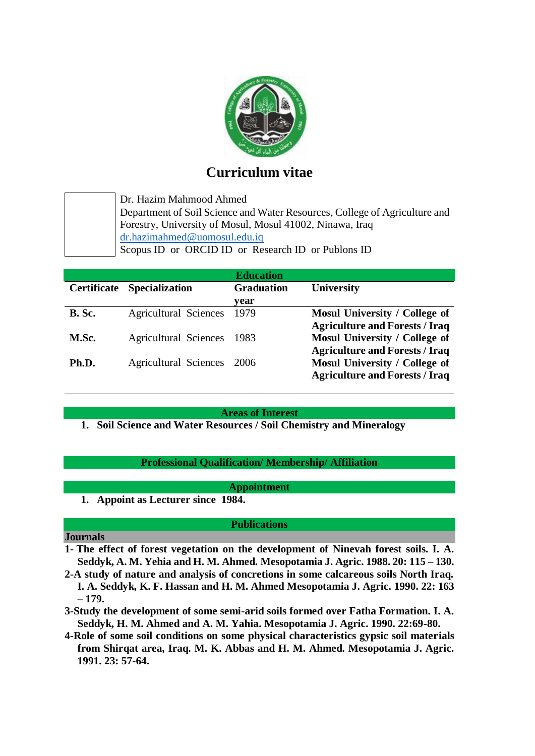

# **Curriculum vitae**

Dr. Hazim Mahmood Ahmed Department of Soil Science and Water Resources, College of Agriculture and Forestry, University of Mosul, Mosul 41002, Ninawa, Iraq [dr.hazimahmed@uomosul.edu.iq](mailto:dr.hazimahmed@uomosul.edu.iq) Scopus ID or ORCID ID or Research ID or Publons ID

|               |                              | <b>Education</b>  |                                       |
|---------------|------------------------------|-------------------|---------------------------------------|
| Certificate   | <b>Specialization</b>        | <b>Graduation</b> | <b>University</b>                     |
|               |                              | vear              |                                       |
| <b>B.</b> Sc. | <b>Agricultural Sciences</b> | 1979              | Mosul University / College of         |
|               |                              |                   | <b>Agriculture and Forests / Iraq</b> |
| M.Sc.         | <b>Agricultural Sciences</b> | 1983              | Mosul University / College of         |
|               |                              |                   | <b>Agriculture and Forests / Iraq</b> |
| Ph.D.         | <b>Agricultural Sciences</b> | 2006              | Mosul University / College of         |
|               |                              |                   | <b>Agriculture and Forests / Iraq</b> |

**Areas of Interest**

**1. Soil Science and Water Resources / Soil Chemistry and Mineralogy**

# **Professional Qualification/ Membership/ Affiliation**

**Appointment**

**1. Appoint as Lecturer since 1984.**

#### **Publications**

### **Journals**

- **1- The effect of forest vegetation on the development of Ninevah forest soils. I. A. Seddyk, A. M. Yehia and H. M. Ahmed. Mesopotamia J. Agric. 1988. 20: 115 – 130.**
- **2-A study of nature and analysis of concretions in some calcareous soils North Iraq. I. A. Seddyk, K. F. Hassan and H. M. Ahmed Mesopotamia J. Agric. 1990. 22: 163 – 179.**
- **3-Study the development of some semi-arid soils formed over Fatha Formation. I. A. Seddyk, H. M. Ahmed and A. M. Yahia. Mesopotamia J. Agric. 1990. 22:69-80.**
- **4-Role of some soil conditions on some physical characteristics gypsic soil materials from Shirqat area, Iraq. M. K. Abbas and H. M. Ahmed. Mesopotamia J. Agric. 1991. 23: 57-64.**